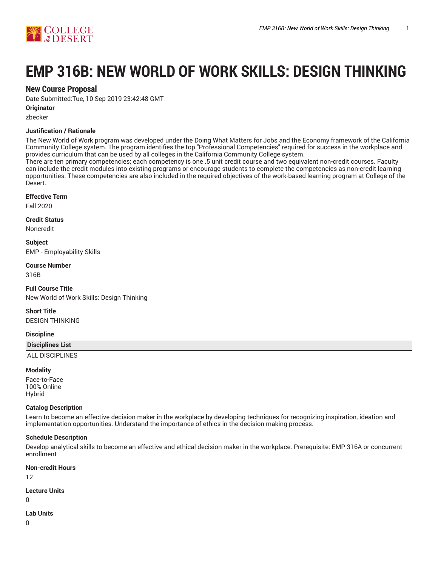

# **EMP 316B: NEW WORLD OF WORK SKILLS: DESIGN THINKING**

# **New Course Proposal**

Date Submitted:Tue, 10 Sep 2019 23:42:48 GMT

#### **Originator**

zbecker

## **Justification / Rationale**

The New World of Work program was developed under the Doing What Matters for Jobs and the Economy framework of the California Community College system. The program identifies the top "Professional Competencies" required for success in the workplace and provides curriculum that can be used by all colleges in the California Community College system.

There are ten primary competencies; each competency is one .5 unit credit course and two equivalent non-credit courses. Faculty can include the credit modules into existing programs or encourage students to complete the competencies as non-credit learning opportunities. These competencies are also included in the required objectives of the work-based learning program at College of the Desert.

#### **Effective Term**

Fall 2020

**Credit Status**

Noncredit

**Subject** EMP - Employability Skills

## **Course Number**

316B

**Full Course Title** New World of Work Skills: Design Thinking

**Short Title** DESIGN THINKING

## **Discipline**

#### **Disciplines List**

ALL DISCIPLINES

#### **Modality**

Face-to-Face 100% Online Hybrid

#### **Catalog Description**

Learn to become an effective decision maker in the workplace by developing techniques for recognizing inspiration, ideation and implementation opportunities. Understand the importance of ethics in the decision making process.

#### **Schedule Description**

Develop analytical skills to become an effective and ethical decision maker in the workplace. Prerequisite: EMP 316A or concurrent enrollment

#### **Non-credit Hours**

12

#### **Lecture Units**

 $\Omega$ 

#### **Lab Units**

 $\Omega$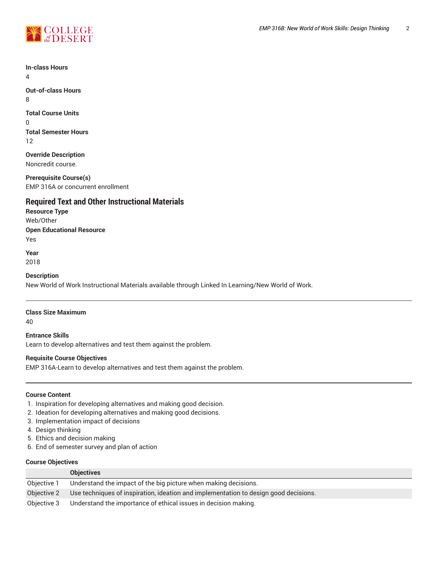

**In-class Hours**

4

**Out-of-class Hours** 8

**Total Course Units**

0 **Total Semester Hours** 12

**Override Description** Noncredit course.

**Prerequisite Course(s)** EMP 316A or concurrent enrollment

# **Required Text and Other Instructional Materials**

**Resource Type** Web/Other **Open Educational Resource** Yes

**Year** 2018

**Description**

New World of Work Instructional Materials available through Linked In Learning/New World of Work.

## **Class Size Maximum**

40

**Entrance Skills** Learn to develop alternatives and test them against the problem.

## **Requisite Course Objectives**

EMP 316A-Learn to develop alternatives and test them against the problem.

## **Course Content**

- 1. Inspiration for developing alternatives and making good decision.
- 2. Ideation for developing alternatives and making good decisions.
- 3. Implementation impact of decisions
- 4. Design thinking
- 5. Ethics and decision making
- 6. End of semester survey and plan of action

## **Course Objectives**

|             | <b>Objectives</b>                                                                    |
|-------------|--------------------------------------------------------------------------------------|
| Objective 1 | Understand the impact of the big picture when making decisions.                      |
| Objective 2 | Use techniques of inspiration, ideation and implementation to design good decisions. |
| Objective 3 | Understand the importance of ethical issues in decision making.                      |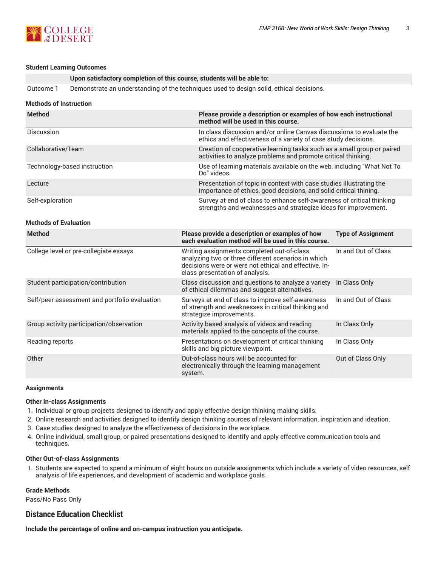

#### **Student Learning Outcomes**

| Upon satisfactory completion of this course, students will be able to: |  |  |  |  |  |  |
|------------------------------------------------------------------------|--|--|--|--|--|--|
|------------------------------------------------------------------------|--|--|--|--|--|--|

Outcome 1 Demonstrate an understanding of the techniques used to design solid, ethical decisions.

|  | Methods of Instruction |  |
|--|------------------------|--|
|  |                        |  |

| <b>Method</b>                                 | Please provide a description or examples of how each instructional<br>method will be used in this course.                                                                                     |                                                                                                                                         |  |  |  |  |  |
|-----------------------------------------------|-----------------------------------------------------------------------------------------------------------------------------------------------------------------------------------------------|-----------------------------------------------------------------------------------------------------------------------------------------|--|--|--|--|--|
| Discussion                                    | In class discussion and/or online Canvas discussions to evaluate the<br>ethics and effectiveness of a variety of case study decisions.                                                        |                                                                                                                                         |  |  |  |  |  |
| Collaborative/Team                            |                                                                                                                                                                                               | Creation of cooperative learning tasks such as a small group or paired<br>activities to analyze problems and promote critical thinking. |  |  |  |  |  |
| Technology-based instruction                  | Do" videos.                                                                                                                                                                                   | Use of learning materials available on the web, including "What Not To                                                                  |  |  |  |  |  |
| Lecture                                       | Presentation of topic in context with case studies illustrating the<br>importance of ethics, good decisions, and solid critical thining.                                                      |                                                                                                                                         |  |  |  |  |  |
| Self-exploration                              |                                                                                                                                                                                               | Survey at end of class to enhance self-awareness of critical thinking<br>strengths and weaknesses and strategize ideas for improvement. |  |  |  |  |  |
| <b>Methods of Evaluation</b>                  |                                                                                                                                                                                               |                                                                                                                                         |  |  |  |  |  |
| <b>Method</b>                                 | Please provide a description or examples of how<br>each evaluation method will be used in this course.                                                                                        | <b>Type of Assignment</b>                                                                                                               |  |  |  |  |  |
| College level or pre-collegiate essays        | Writing assignments completed out-of-class<br>analyzing two or three different scenarios in which<br>decisions were or were not ethical and effective. In-<br>class presentation of analysis. | In and Out of Class                                                                                                                     |  |  |  |  |  |
| Student participation/contribution            | Class discussion and questions to analyze a variety<br>of ethical dilemmas and suggest alternatives.                                                                                          | In Class Only                                                                                                                           |  |  |  |  |  |
| Self/peer assessment and portfolio evaluation | Surveys at end of class to improve self-awareness<br>of strength and weaknesses in critical thinking and<br>strategize improvements.                                                          | In and Out of Class                                                                                                                     |  |  |  |  |  |
| Group activity participation/observation      | Activity based analysis of videos and reading<br>materials applied to the concepts of the course.                                                                                             | In Class Only                                                                                                                           |  |  |  |  |  |
| Reading reports                               | Presentations on development of critical thinking<br>skills and big picture viewpoint.                                                                                                        | In Class Only                                                                                                                           |  |  |  |  |  |
| Other                                         | Out-of-class hours will be accounted for<br>electronically through the learning management<br>system.                                                                                         | Out of Class Only                                                                                                                       |  |  |  |  |  |

#### **Assignments**

#### **Other In-class Assignments**

- 1. Individual or group projects designed to identify and apply effective design thinking making skills.
- 2. Online research and activities designed to identify design thinking sources of relevant information, inspiration and ideation.
- 3. Case studies designed to analyze the effectiveness of decisions in the workplace.
- 4. Online individual, small group, or paired presentations designed to identify and apply effective communication tools and techniques.

#### **Other Out-of-class Assignments**

1. Students are expected to spend a minimum of eight hours on outside assignments which include a variety of video resources, self analysis of life experiences, and development of academic and workplace goals.

#### **Grade Methods**

Pass/No Pass Only

# **Distance Education Checklist**

**Include the percentage of online and on-campus instruction you anticipate.**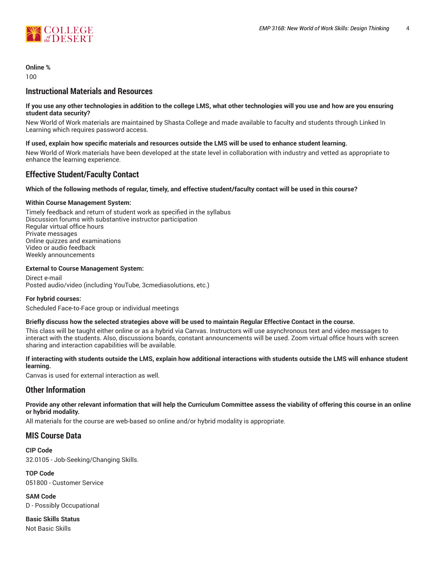

**Online %**

 $100$ 

# **Instructional Materials and Resources**

#### If you use any other technologies in addition to the college LMS, what other technologies will you use and how are you ensuring **student data security?**

New World of Work materials are maintained by Shasta College and made available to faculty and students through Linked In Learning which requires password access.

#### **If used, explain how specific materials and resources outside the LMS will be used to enhance student learning.**

New World of Work materials have been developed at the state level in collaboration with industry and vetted as appropriate to enhance the learning experience.

# **Effective Student/Faculty Contact**

## Which of the following methods of regular, timely, and effective student/faculty contact will be used in this course?

## **Within Course Management System:**

Timely feedback and return of student work as specified in the syllabus Discussion forums with substantive instructor participation Regular virtual office hours Private messages Online quizzes and examinations Video or audio feedback Weekly announcements

#### **External to Course Management System:**

Direct e-mail Posted audio/video (including YouTube, 3cmediasolutions, etc.)

#### **For hybrid courses:**

Scheduled Face-to-Face group or individual meetings

#### Briefly discuss how the selected strategies above will be used to maintain Regular Effective Contact in the course.

This class will be taught either online or as a hybrid via Canvas. Instructors will use asynchronous text and video messages to interact with the students. Also, discussions boards, constant announcements will be used. Zoom virtual office hours with screen sharing and interaction capabilities will be available.

#### **If interacting with students outside the LMS, explain how additional interactions with students outside the LMS will enhance student learning.**

Canvas is used for external interaction as well.

# **Other Information**

Provide any other relevant information that will help the Curriculum Committee assess the viability of offering this course in an online **or hybrid modality.**

All materials for the course are web-based so online and/or hybrid modality is appropriate.

# **MIS Course Data**

**CIP Code** 32.0105 - Job-Seeking/Changing Skills.

**TOP Code** 051800 - Customer Service

**SAM Code** D - Possibly Occupational

**Basic Skills Status** Not Basic Skills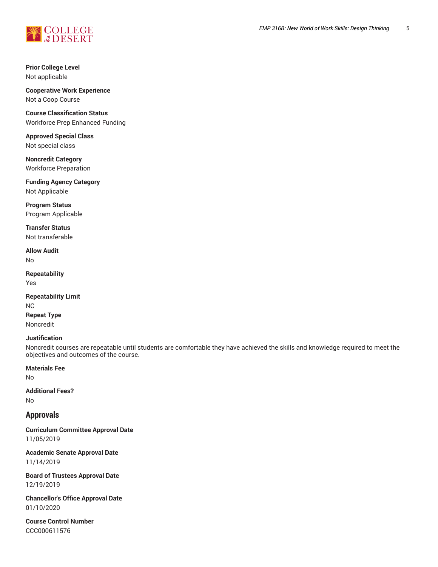

**Prior College Level** Not applicable

**Cooperative Work Experience** Not a Coop Course

**Course Classification Status** Workforce Prep Enhanced Funding

**Approved Special Class** Not special class

**Noncredit Category** Workforce Preparation

**Funding Agency Category** Not Applicable

**Program Status** Program Applicable

**Transfer Status** Not transferable

**Allow Audit** No

**Repeatability** Yes

**Repeatability Limit** NC **Repeat Type** Noncredit

#### **Justification**

Noncredit courses are repeatable until students are comfortable they have achieved the skills and knowledge required to meet the objectives and outcomes of the course.

**Materials Fee**

No

**Additional Fees?** No

# **Approvals**

**Curriculum Committee Approval Date** 11/05/2019

**Academic Senate Approval Date** 11/14/2019

**Board of Trustees Approval Date** 12/19/2019

**Chancellor's Office Approval Date** 01/10/2020

**Course Control Number** CCC000611576